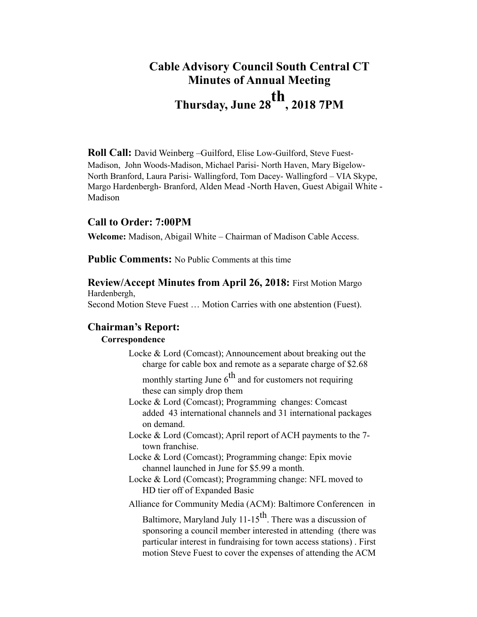# **Cable Advisory Council South Central CT Minutes of Annual Meeting Thursday, June 28th, 2018 7PM**

**Roll Call:** David Weinberg –Guilford, Elise Low-Guilford, Steve Fuest-Madison, John Woods-Madison, Michael Parisi- North Haven, Mary Bigelow-North Branford, Laura Parisi- Wallingford, Tom Dacey- Wallingford – VIA Skype, Margo Hardenbergh- Branford, Alden Mead -North Haven, Guest Abigail White - Madison

## **Call to Order: 7:00PM**

**Welcome:** Madison, Abigail White – Chairman of Madison Cable Access.

**Public Comments:** No Public Comments at this time

**Review/Accept Minutes from April 26, 2018:** First Motion Margo Hardenbergh,

Second Motion Steve Fuest … Motion Carries with one abstention (Fuest).

# **Chairman's Report:**

### **Correspondence**

Locke & Lord (Comcast); Announcement about breaking out the charge for cable box and remote as a separate charge of \$2.68

monthly starting June  $6<sup>th</sup>$  and for customers not requiring these can simply drop them

- Locke & Lord (Comcast); Programming changes: Comcast added 43 international channels and 31 international packages on demand.
- Locke & Lord (Comcast); April report of ACH payments to the 7 town franchise.
- Locke & Lord (Comcast); Programming change: Epix movie channel launched in June for \$5.99 a month.
- Locke & Lord (Comcast); Programming change: NFL moved to HD tier off of Expanded Basic

Alliance for Community Media (ACM): Baltimore Conferencen in

Baltimore, Maryland July  $11-15$ <sup>th</sup>. There was a discussion of sponsoring a council member interested in attending (there was particular interest in fundraising for town access stations) . First motion Steve Fuest to cover the expenses of attending the ACM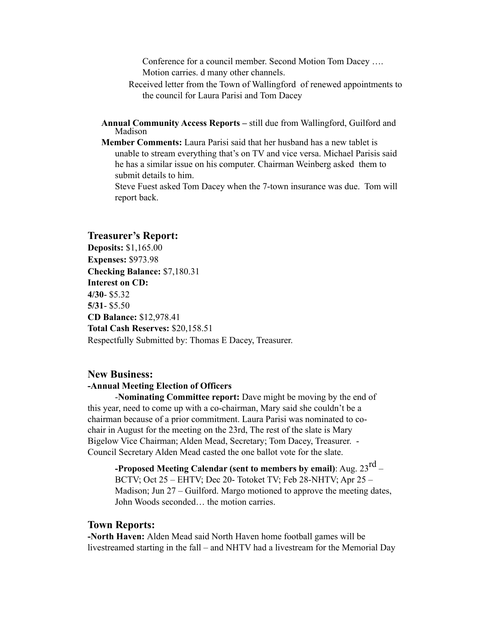Conference for a council member. Second Motion Tom Dacey …. Motion carries. d many other channels.

- Received letter from the Town of Wallingford of renewed appointments to the council for Laura Parisi and Tom Dacey
- **Annual Community Access Reports** still due from Wallingford, Guilford and Madison
- **Member Comments:** Laura Parisi said that her husband has a new tablet is unable to stream everything that's on TV and vice versa. Michael Parisis said he has a similar issue on his computer. Chairman Weinberg asked them to submit details to him.

Steve Fuest asked Tom Dacey when the 7-town insurance was due. Tom will report back.

#### **Treasurer's Report:**

**Deposits:** \$1,165.00 **Expenses:** \$973.98 **Checking Balance:** \$7,180.31 **Interest on CD: 4/30**- \$5.32 **5/31**- \$5.50 **CD Balance:** \$12,978.41 **Total Cash Reserves:** \$20,158.51 Respectfully Submitted by: Thomas E Dacey, Treasurer.

#### **New Business: -Annual Meeting Election of Officers**

-**Nominating Committee report:** Dave might be moving by the end of this year, need to come up with a co-chairman, Mary said she couldn't be a chairman because of a prior commitment. Laura Parisi was nominated to cochair in August for the meeting on the 23rd, The rest of the slate is Mary Bigelow Vice Chairman; Alden Mead, Secretary; Tom Dacey, Treasurer. - Council Secretary Alden Mead casted the one ballot vote for the slate.

**-Proposed Meeting Calendar (sent to members by email)**: Aug. 23rd – BCTV; Oct 25 – EHTV; Dec 20- Totoket TV; Feb 28-NHTV; Apr 25 – Madison; Jun 27 – Guilford. Margo motioned to approve the meeting dates, John Woods seconded… the motion carries.

#### **Town Reports:**

**-North Haven:** Alden Mead said North Haven home football games will be livestreamed starting in the fall – and NHTV had a livestream for the Memorial Day